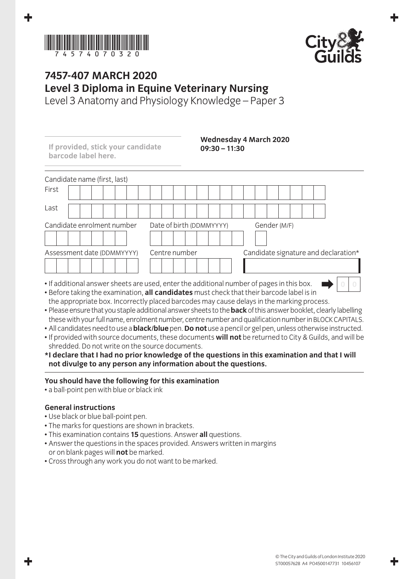



## **7457-407 March 2020 Level 3 Diploma in Equine Veterinary Nursing**

Level 3 Anatomy and Physiology Knowledge – Paper 3

| If provided, stick your candidate<br>barcode label here. | $09:30 - 11:30$                                                                           | <b>Wednesday 4 March 2020</b>        |
|----------------------------------------------------------|-------------------------------------------------------------------------------------------|--------------------------------------|
| Candidate name (first, last)                             |                                                                                           |                                      |
| First                                                    |                                                                                           |                                      |
| Last                                                     |                                                                                           |                                      |
| Candidate enrolment number                               | Date of birth (DDMMYYYY)                                                                  | Gender (M/F)                         |
| Assessment date (DDMMYYYY)                               | Centre number                                                                             | Candidate signature and declaration* |
|                                                          |                                                                                           |                                      |
|                                                          | • If additional answer sheets are used, enter the additional number of pages in this box. |                                      |

- Before taking the examination, **all candidates** must check that their barcode label is in the appropriate box. Incorrectly placed barcodes may cause delays in the marking process.
- Please ensure that you staple additional answer sheets to the **back** of this answer booklet, clearly labelling these with your full name, enrolment number, centre number and qualification number in BLOCK CAPITALS.
- All candidates need to use a **black/blue** pen. **Do not** use a pencil or gel pen, unless otherwise instructed.
- If provided with source documents, these documents **will not** be returned to City & Guilds, and will be shredded. Do not write on the source documents.
- **\* I declare that I had no prior knowledge of the questions in this examination and that I will not divulge to any person any information about the questions.**

## **You should have the following for this examination**

• a ball-point pen with blue or black ink

## **General instructions**

- Use black or blue ball-point pen.
- The marks for questions are shown in brackets.
- This examination contains **15** questions. Answer **all** questions.
- Answer the questions in the spaces provided. Answers written in margins or on blank pages will **not** be marked.
- Cross through any work you do not want to be marked.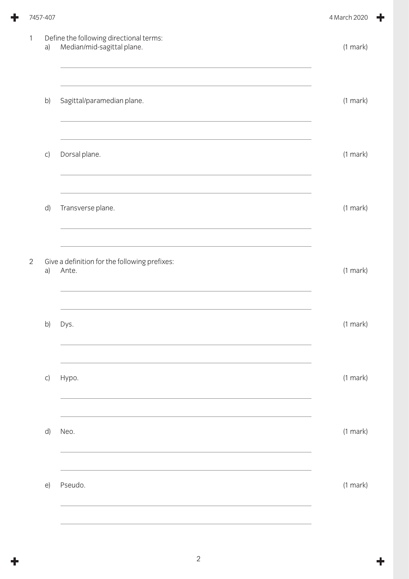|                | 7457-407 |                                                                       | 4 March 2020  |
|----------------|----------|-----------------------------------------------------------------------|---------------|
| $\mathbf{1}$   | a)       | Define the following directional terms:<br>Median/mid-sagittal plane. | $(1$ mark $)$ |
|                | b)       | Sagittal/paramedian plane.                                            | $(1$ mark $)$ |
|                | C)       | Dorsal plane.                                                         | $(1$ mark $)$ |
|                | d)       | Transverse plane.                                                     | $(1$ mark $)$ |
| $\overline{2}$ | a)       | Give a definition for the following prefixes:<br>Ante.                | $(1$ mark $)$ |
|                | b)       | Dys.                                                                  | $(1$ mark $)$ |
|                | C)       | Hypo.                                                                 | (1 mark)      |
|                | d)       | Neo.                                                                  | $(1$ mark $)$ |
|                | $\Theta$ | Pseudo.                                                               | $(1$ mark $)$ |
|                |          |                                                                       |               |

÷

 $\ddot{\mathbf{r}}$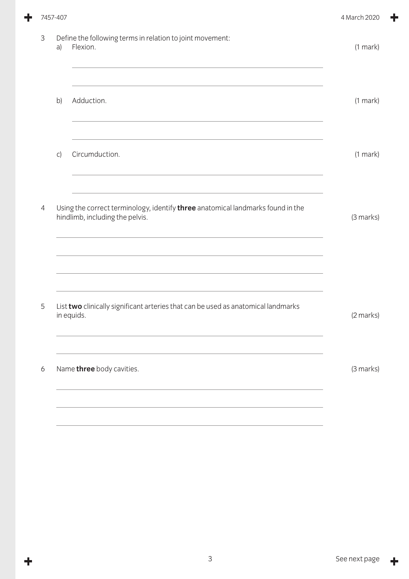|                | 7457-407 |                                                                                                                    | 4 March 2020  |
|----------------|----------|--------------------------------------------------------------------------------------------------------------------|---------------|
| 3              | a)       | Define the following terms in relation to joint movement:<br>Flexion.                                              | $(1$ mark)    |
|                | b)       | Adduction.                                                                                                         | $(1$ mark $)$ |
|                | C)       | Circumduction.                                                                                                     | (1 mark)      |
| $\overline{4}$ |          | Using the correct terminology, identify three anatomical landmarks found in the<br>hindlimb, including the pelvis. | (3 marks)     |
| 5              |          | List two clinically significant arteries that can be used as anatomical landmarks<br>in equids.                    | (2 marks)     |
| 6              |          | Name three body cavities.                                                                                          | (3 marks)     |
|                |          |                                                                                                                    |               |

۰

 $\ddagger$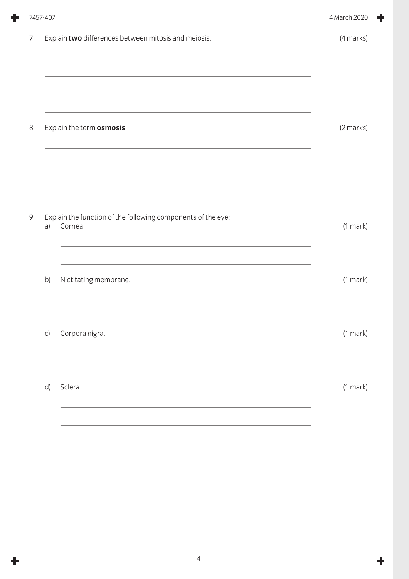|   | 7457-407 |                                                                         | 4 March 2020  |
|---|----------|-------------------------------------------------------------------------|---------------|
| 7 |          | Explain two differences between mitosis and meiosis.                    | (4 marks)     |
| 8 |          | Explain the term osmosis.                                               | (2 marks)     |
| 9 | a)       | Explain the function of the following components of the eye:<br>Cornea. | $(1$ mark $)$ |
|   | b)       | Nictitating membrane.                                                   | $(1$ mark $)$ |
|   | C)       | Corpora nigra.                                                          | $(1$ mark $)$ |
|   | d)       | Sclera.                                                                 | $(1$ mark $)$ |
|   |          |                                                                         |               |

 $\ddot{\phantom{1}}$ 

 $\ddot{\mathbf{r}}$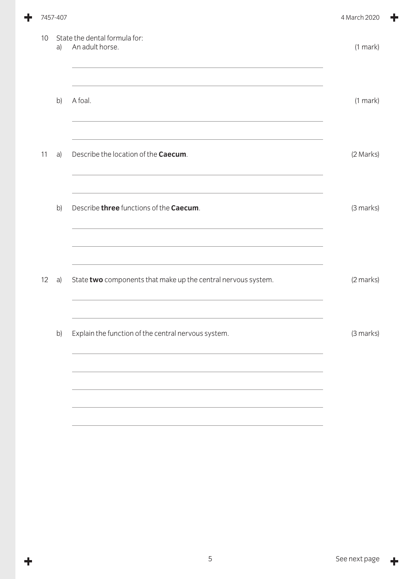|    | 7457-407 |                                                               | 4 March 2020  |
|----|----------|---------------------------------------------------------------|---------------|
| 10 | a)       | State the dental formula for:<br>An adult horse.              | $(1$ mark)    |
|    | b)       | A foal.                                                       | $(1$ mark $)$ |
| 11 | a)       | Describe the location of the Caecum.                          | (2 Marks)     |
|    | b)       | Describe three functions of the Caecum.                       | (3 marks)     |
| 12 | a)       | State two components that make up the central nervous system. | (2 marks)     |
|    | b)       | Explain the function of the central nervous system.           | (3 marks)     |
|    |          |                                                               |               |
|    |          |                                                               |               |

 $\ddagger$ 

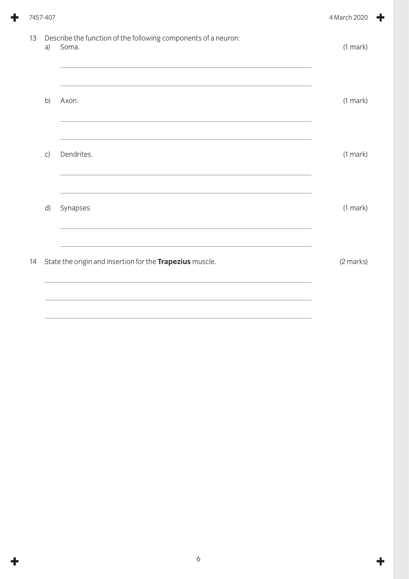|    | 7457-407 |                                                                         | 4 March 2020  |
|----|----------|-------------------------------------------------------------------------|---------------|
| 13 | a)       | Describe the function of the following components of a neuron:<br>Soma. | $(1$ mark $)$ |
|    | b)       | Axon.                                                                   | $(1$ mark $)$ |
|    | C)       | Dendrites.                                                              | $(1$ mark $)$ |
|    | d)       | Synapses.                                                               | $(1$ mark $)$ |
| 14 |          | State the origin and insertion for the Trapezius muscle.                | (2 marks)     |
|    |          |                                                                         |               |

÷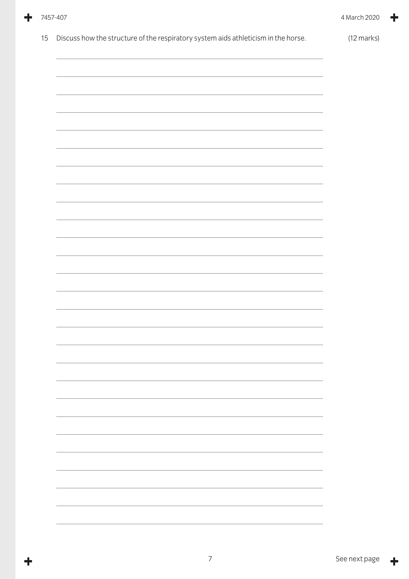|  | 7457-407 |
|--|----------|
|--|----------|

 $\ddagger$ 

╋

| ,我们也不会有什么?""我们的人,我们也不会不会不会。""我们的人,我们也不会不会不会不会。""我们的人,我们也不会不会不会不会。""我们的人,我们也不会不会不 |  |
|----------------------------------------------------------------------------------|--|
|                                                                                  |  |
|                                                                                  |  |
|                                                                                  |  |
|                                                                                  |  |
|                                                                                  |  |
|                                                                                  |  |
|                                                                                  |  |
|                                                                                  |  |
|                                                                                  |  |
|                                                                                  |  |
|                                                                                  |  |
|                                                                                  |  |
|                                                                                  |  |
|                                                                                  |  |
|                                                                                  |  |
|                                                                                  |  |
|                                                                                  |  |
|                                                                                  |  |
|                                                                                  |  |
|                                                                                  |  |
|                                                                                  |  |
|                                                                                  |  |
|                                                                                  |  |
|                                                                                  |  |
|                                                                                  |  |
|                                                                                  |  |
|                                                                                  |  |
|                                                                                  |  |
|                                                                                  |  |
|                                                                                  |  |
|                                                                                  |  |